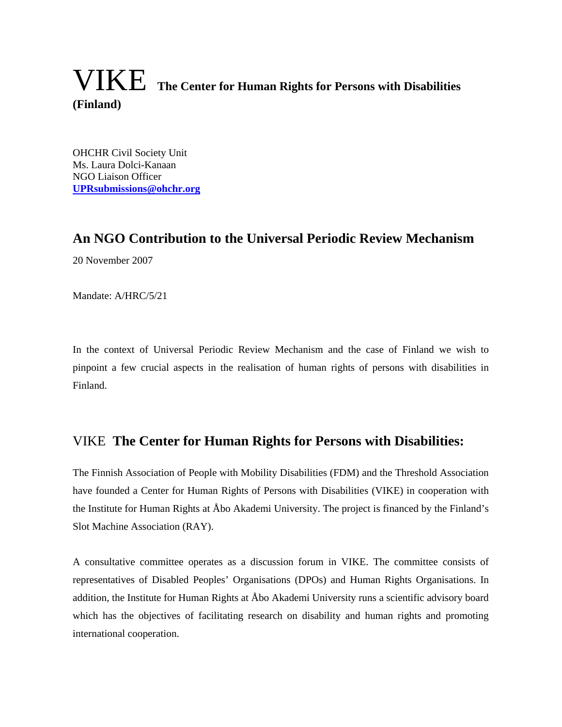# VIKE **The Center for Human Rights for Persons with Disabilities (Finland)**

OHCHR Civil Society Unit Ms. Laura Dolci-Kanaan NGO Liaison Officer **UPRsubmissions@ohchr.org**

# **An NGO Contribution to the Universal Periodic Review Mechanism**

20 November 2007

Mandate: A/HRC/5/21

In the context of Universal Periodic Review Mechanism and the case of Finland we wish to pinpoint a few crucial aspects in the realisation of human rights of persons with disabilities in Finland.

# VIKE **The Center for Human Rights for Persons with Disabilities:**

The Finnish Association of People with Mobility Disabilities (FDM) and the Threshold Association have founded a Center for Human Rights of Persons with Disabilities (VIKE) in cooperation with the Institute for Human Rights at Åbo Akademi University. The project is financed by the Finland's Slot Machine Association (RAY).

A consultative committee operates as a discussion forum in VIKE. The committee consists of representatives of Disabled Peoples' Organisations (DPOs) and Human Rights Organisations. In addition, the Institute for Human Rights at Åbo Akademi University runs a scientific advisory board which has the objectives of facilitating research on disability and human rights and promoting international cooperation.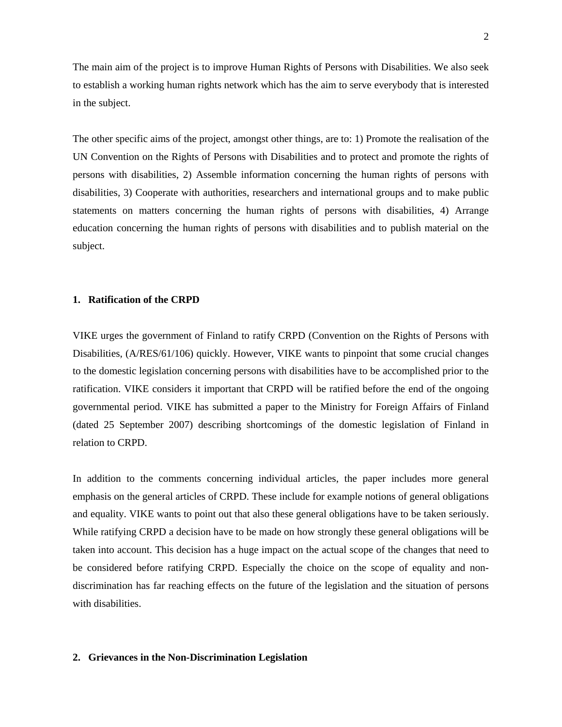The main aim of the project is to improve Human Rights of Persons with Disabilities. We also seek to establish a working human rights network which has the aim to serve everybody that is interested in the subject.

The other specific aims of the project, amongst other things, are to: 1) Promote the realisation of the UN Convention on the Rights of Persons with Disabilities and to protect and promote the rights of persons with disabilities, 2) Assemble information concerning the human rights of persons with disabilities, 3) Cooperate with authorities, researchers and international groups and to make public statements on matters concerning the human rights of persons with disabilities, 4) Arrange education concerning the human rights of persons with disabilities and to publish material on the subject.

## **1. Ratification of the CRPD**

VIKE urges the government of Finland to ratify CRPD (Convention on the Rights of Persons with Disabilities, (A/RES/61/106) quickly. However, VIKE wants to pinpoint that some crucial changes to the domestic legislation concerning persons with disabilities have to be accomplished prior to the ratification. VIKE considers it important that CRPD will be ratified before the end of the ongoing governmental period. VIKE has submitted a paper to the Ministry for Foreign Affairs of Finland (dated 25 September 2007) describing shortcomings of the domestic legislation of Finland in relation to CRPD.

In addition to the comments concerning individual articles, the paper includes more general emphasis on the general articles of CRPD. These include for example notions of general obligations and equality. VIKE wants to point out that also these general obligations have to be taken seriously. While ratifying CRPD a decision have to be made on how strongly these general obligations will be taken into account. This decision has a huge impact on the actual scope of the changes that need to be considered before ratifying CRPD. Especially the choice on the scope of equality and nondiscrimination has far reaching effects on the future of the legislation and the situation of persons with disabilities.

#### **2. Grievances in the Non-Discrimination Legislation**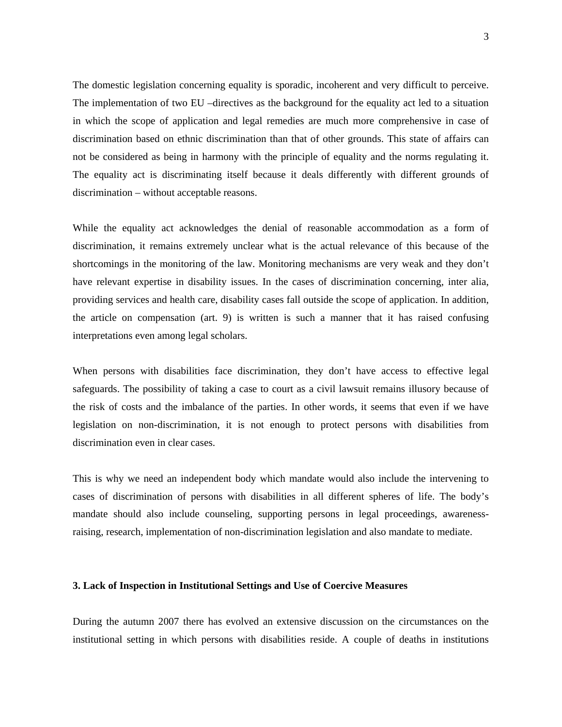The domestic legislation concerning equality is sporadic, incoherent and very difficult to perceive. The implementation of two EU –directives as the background for the equality act led to a situation in which the scope of application and legal remedies are much more comprehensive in case of discrimination based on ethnic discrimination than that of other grounds. This state of affairs can not be considered as being in harmony with the principle of equality and the norms regulating it. The equality act is discriminating itself because it deals differently with different grounds of discrimination – without acceptable reasons.

While the equality act acknowledges the denial of reasonable accommodation as a form of discrimination, it remains extremely unclear what is the actual relevance of this because of the shortcomings in the monitoring of the law. Monitoring mechanisms are very weak and they don't have relevant expertise in disability issues. In the cases of discrimination concerning, inter alia, providing services and health care, disability cases fall outside the scope of application. In addition, the article on compensation (art. 9) is written is such a manner that it has raised confusing interpretations even among legal scholars.

When persons with disabilities face discrimination, they don't have access to effective legal safeguards. The possibility of taking a case to court as a civil lawsuit remains illusory because of the risk of costs and the imbalance of the parties. In other words, it seems that even if we have legislation on non-discrimination, it is not enough to protect persons with disabilities from discrimination even in clear cases.

This is why we need an independent body which mandate would also include the intervening to cases of discrimination of persons with disabilities in all different spheres of life. The body's mandate should also include counseling, supporting persons in legal proceedings, awarenessraising, research, implementation of non-discrimination legislation and also mandate to mediate.

#### **3. Lack of Inspection in Institutional Settings and Use of Coercive Measures**

During the autumn 2007 there has evolved an extensive discussion on the circumstances on the institutional setting in which persons with disabilities reside. A couple of deaths in institutions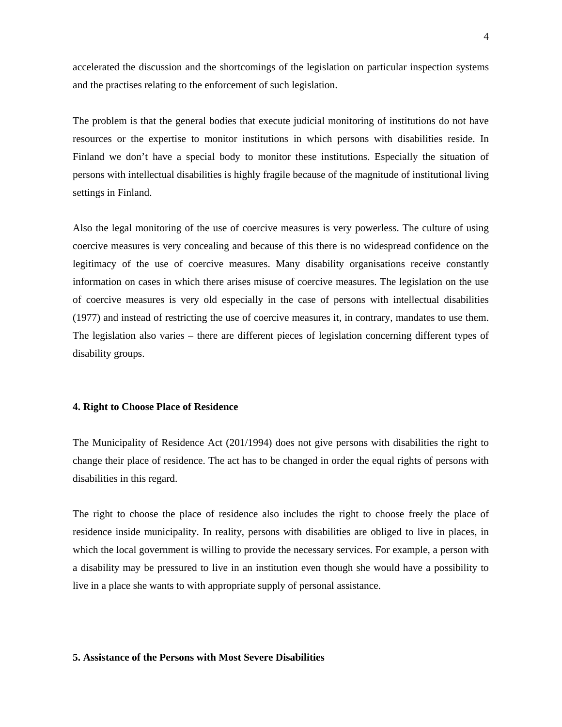accelerated the discussion and the shortcomings of the legislation on particular inspection systems and the practises relating to the enforcement of such legislation.

The problem is that the general bodies that execute judicial monitoring of institutions do not have resources or the expertise to monitor institutions in which persons with disabilities reside. In Finland we don't have a special body to monitor these institutions. Especially the situation of persons with intellectual disabilities is highly fragile because of the magnitude of institutional living settings in Finland.

Also the legal monitoring of the use of coercive measures is very powerless. The culture of using coercive measures is very concealing and because of this there is no widespread confidence on the legitimacy of the use of coercive measures. Many disability organisations receive constantly information on cases in which there arises misuse of coercive measures. The legislation on the use of coercive measures is very old especially in the case of persons with intellectual disabilities (1977) and instead of restricting the use of coercive measures it, in contrary, mandates to use them. The legislation also varies – there are different pieces of legislation concerning different types of disability groups.

#### **4. Right to Choose Place of Residence**

The Municipality of Residence Act (201/1994) does not give persons with disabilities the right to change their place of residence. The act has to be changed in order the equal rights of persons with disabilities in this regard.

The right to choose the place of residence also includes the right to choose freely the place of residence inside municipality. In reality, persons with disabilities are obliged to live in places, in which the local government is willing to provide the necessary services. For example, a person with a disability may be pressured to live in an institution even though she would have a possibility to live in a place she wants to with appropriate supply of personal assistance.

## **5. Assistance of the Persons with Most Severe Disabilities**